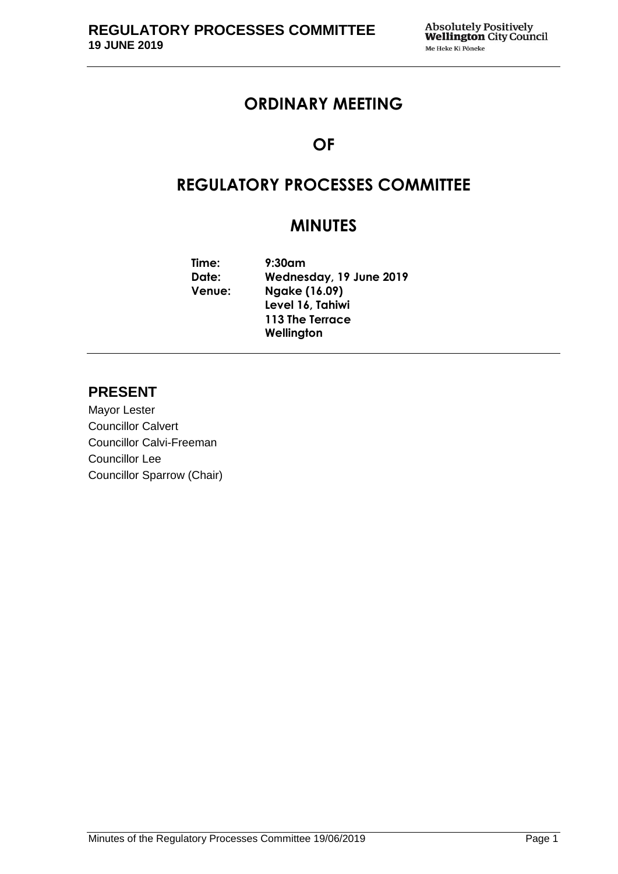# **ORDINARY MEETING**

# **OF**

# **REGULATORY PROCESSES COMMITTEE**

# **MINUTES**

**Time: 9:30am Date: Wednesday, 19 June 2019 Venue: Ngake (16.09) Level 16, Tahiwi 113 The Terrace Wellington**

# **PRESENT**

Mayor Lester Councillor Calvert Councillor Calvi-Freeman Councillor Lee Councillor Sparrow (Chair)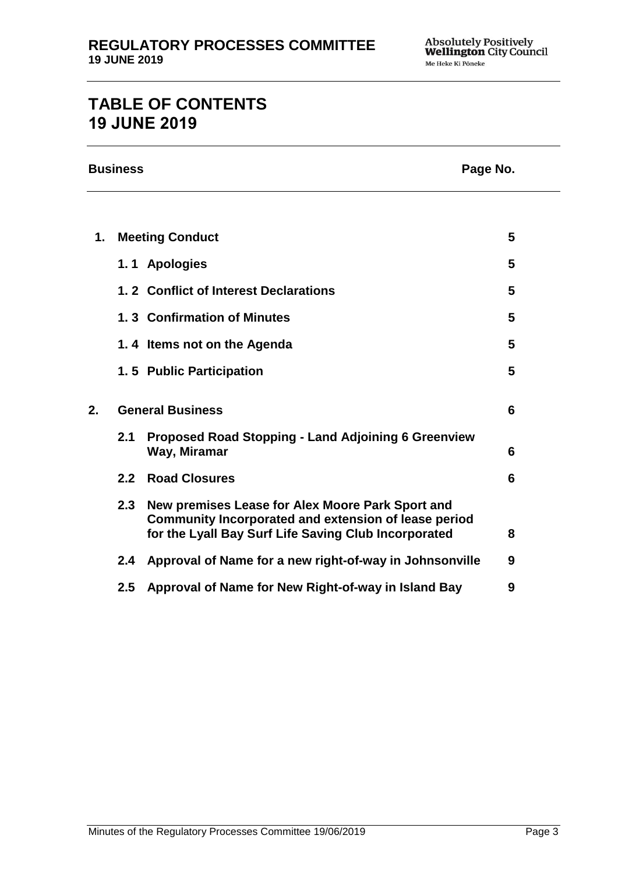# **TABLE OF CONTENTS 19 JUNE 2019**

|    | <b>Business</b><br>Page No. |                                                                                                                                                                  |   |  |
|----|-----------------------------|------------------------------------------------------------------------------------------------------------------------------------------------------------------|---|--|
|    |                             |                                                                                                                                                                  |   |  |
| 1. |                             | <b>Meeting Conduct</b>                                                                                                                                           | 5 |  |
|    |                             | 1.1 Apologies                                                                                                                                                    | 5 |  |
|    |                             | 1.2 Conflict of Interest Declarations                                                                                                                            | 5 |  |
|    |                             | 1.3 Confirmation of Minutes                                                                                                                                      | 5 |  |
|    |                             | 1.4 Items not on the Agenda                                                                                                                                      | 5 |  |
|    |                             | 1.5 Public Participation                                                                                                                                         | 5 |  |
| 2. | <b>General Business</b>     |                                                                                                                                                                  | 6 |  |
|    | 2.1                         | <b>Proposed Road Stopping - Land Adjoining 6 Greenview</b><br>Way, Miramar                                                                                       | 6 |  |
|    | 2.2                         | <b>Road Closures</b>                                                                                                                                             | 6 |  |
|    | 2.3                         | New premises Lease for Alex Moore Park Sport and<br>Community Incorporated and extension of lease period<br>for the Lyall Bay Surf Life Saving Club Incorporated | 8 |  |
|    | 2.4                         | Approval of Name for a new right-of-way in Johnsonville                                                                                                          | 9 |  |
|    | 2.5                         | Approval of Name for New Right-of-way in Island Bay                                                                                                              | 9 |  |
|    |                             |                                                                                                                                                                  |   |  |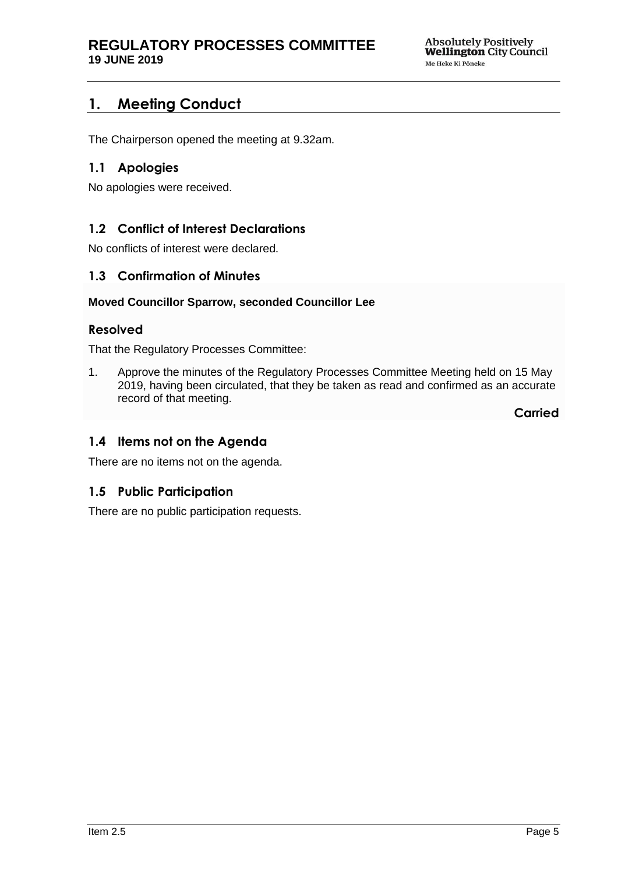# <span id="page-4-0"></span>**1. Meeting Conduct**

The Chairperson opened the meeting at 9.32am.

# <span id="page-4-1"></span>**1.1 Apologies**

No apologies were received.

# <span id="page-4-2"></span>**1.2 Conflict of Interest Declarations**

No conflicts of interest were declared.

## <span id="page-4-3"></span>**1.3 Confirmation of Minutes**

#### **Moved Councillor Sparrow, seconded Councillor Lee**

#### **Resolved**

That the Regulatory Processes Committee:

1. Approve the minutes of the Regulatory Processes Committee Meeting held on 15 May 2019, having been circulated, that they be taken as read and confirmed as an accurate record of that meeting.

**Carried**

## <span id="page-4-4"></span>**1.4 Items not on the Agenda**

There are no items not on the agenda.

## **1.5 Public Participation**

There are no public participation requests.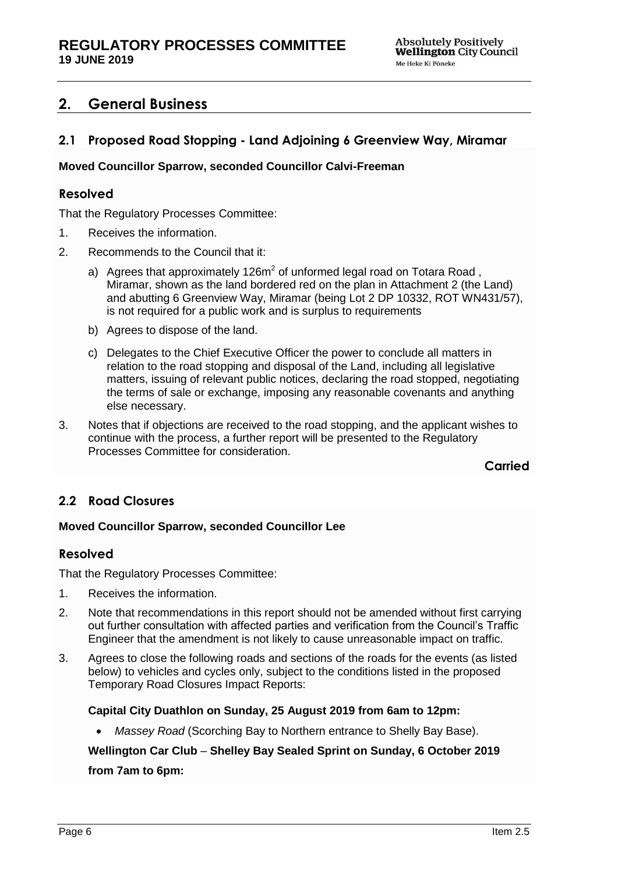# <span id="page-5-0"></span>**2. General Business**

# <span id="page-5-1"></span>**2.1 Proposed Road Stopping - Land Adjoining 6 Greenview Way, Miramar**

#### **Moved Councillor Sparrow, seconded Councillor Calvi-Freeman**

## **Resolved**

That the Regulatory Processes Committee:

- 1. Receives the information.
- 2. Recommends to the Council that it:
	- a) Agrees that approximately 126 $m^2$  of unformed legal road on Totara Road, Miramar, shown as the land bordered red on the plan in Attachment 2 (the Land) and abutting 6 Greenview Way, Miramar (being Lot 2 DP 10332, ROT WN431/57), is not required for a public work and is surplus to requirements
	- b) Agrees to dispose of the land.
	- c) Delegates to the Chief Executive Officer the power to conclude all matters in relation to the road stopping and disposal of the Land, including all legislative matters, issuing of relevant public notices, declaring the road stopped, negotiating the terms of sale or exchange, imposing any reasonable covenants and anything else necessary.
- 3. Notes that if objections are received to the road stopping, and the applicant wishes to continue with the process, a further report will be presented to the Regulatory Processes Committee for consideration.

**Carried**

## <span id="page-5-2"></span>**2.2 Road Closures**

#### **Moved Councillor Sparrow, seconded Councillor Lee**

#### **Resolved**

That the Regulatory Processes Committee:

- 1. Receives the information.
- 2. Note that recommendations in this report should not be amended without first carrying out further consultation with affected parties and verification from the Council's Traffic Engineer that the amendment is not likely to cause unreasonable impact on traffic.
- 3. Agrees to close the following roads and sections of the roads for the events (as listed below) to vehicles and cycles only, subject to the conditions listed in the proposed Temporary Road Closures Impact Reports:

#### **Capital City Duathlon on Sunday, 25 August 2019 from 6am to 12pm:**

*Massey Road* (Scorching Bay to Northern entrance to Shelly Bay Base).

**Wellington Car Club** – **Shelley Bay Sealed Sprint on Sunday, 6 October 2019 from 7am to 6pm:**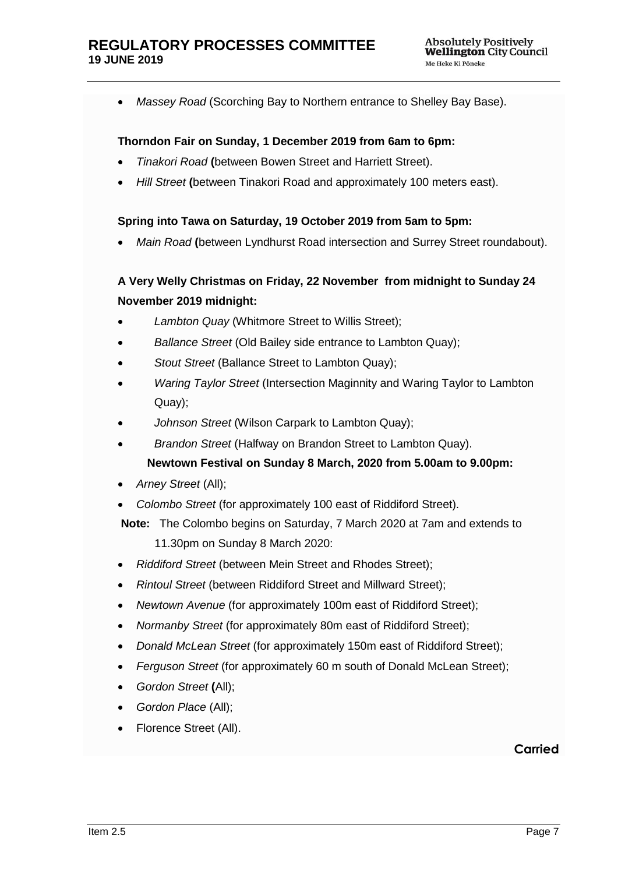*Massey Road* (Scorching Bay to Northern entrance to Shelley Bay Base).

#### **Thorndon Fair on Sunday, 1 December 2019 from 6am to 6pm:**

- *Tinakori Road* **(**between Bowen Street and Harriett Street).
- *Hill Street* **(**between Tinakori Road and approximately 100 meters east).

#### **Spring into Tawa on Saturday, 19 October 2019 from 5am to 5pm:**

*Main Road* **(**between Lyndhurst Road intersection and Surrey Street roundabout).

# **A Very Welly Christmas on Friday, 22 November from midnight to Sunday 24 November 2019 midnight:**

- *Lambton Quay* (Whitmore Street to Willis Street);
- *Ballance Street* (Old Bailey side entrance to Lambton Quay);
- *Stout Street* (Ballance Street to Lambton Quay);
- *Waring Taylor Street* (Intersection Maginnity and Waring Taylor to Lambton Quay);
- *Johnson Street* (Wilson Carpark to Lambton Quay);
- *Brandon Street* (Halfway on Brandon Street to Lambton Quay). **Newtown Festival on Sunday 8 March, 2020 from 5.00am to 9.00pm:**
- *Arney Street* (All);
- *Colombo Street* (for approximately 100 east of Riddiford Street).
- **Note:** The Colombo begins on Saturday, 7 March 2020 at 7am and extends to

11.30pm on Sunday 8 March 2020:

- *Riddiford Street* (between Mein Street and Rhodes Street);
- *Rintoul Street* (between Riddiford Street and Millward Street);
- *Newtown Avenue* (for approximately 100m east of Riddiford Street);
- *Normanby Street* (for approximately 80m east of Riddiford Street);
- *Donald McLean Street* (for approximately 150m east of Riddiford Street);
- *Ferguson Street* (for approximately 60 m south of Donald McLean Street);
- *Gordon Street* **(**All);
- *Gordon Place* (All);
- Florence Street (All).

#### **Carried**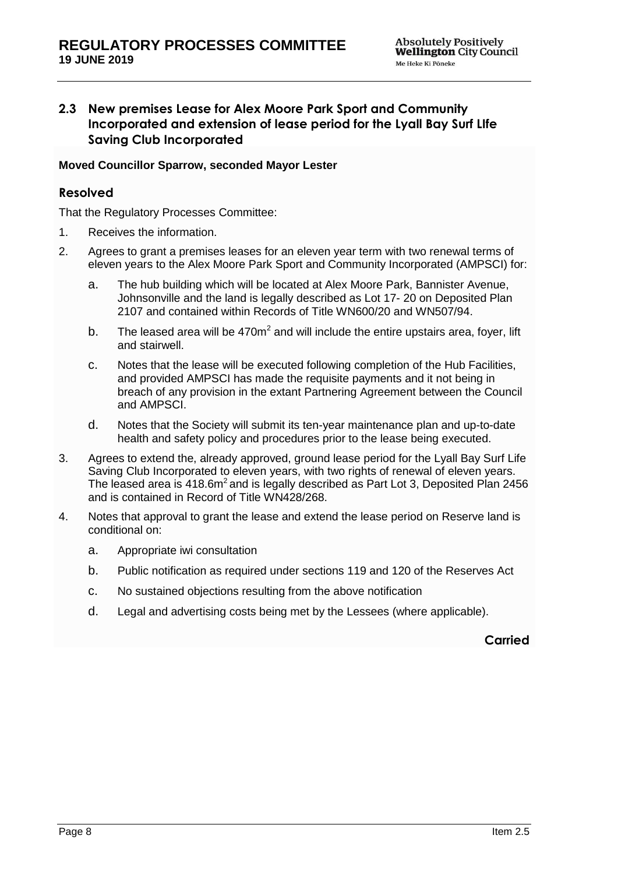# <span id="page-7-0"></span>**2.3 New premises Lease for Alex Moore Park Sport and Community Incorporated and extension of lease period for the Lyall Bay Surf LIfe Saving Club Incorporated**

#### **Moved Councillor Sparrow, seconded Mayor Lester**

# **Resolved**

That the Regulatory Processes Committee:

- 1. Receives the information.
- 2. Agrees to grant a premises leases for an eleven year term with two renewal terms of eleven years to the Alex Moore Park Sport and Community Incorporated (AMPSCI) for:
	- a. The hub building which will be located at Alex Moore Park, Bannister Avenue, Johnsonville and the land is legally described as Lot 17- 20 on Deposited Plan 2107 and contained within Records of Title WN600/20 and WN507/94.
	- b. The leased area will be  $470m^2$  and will include the entire upstairs area, foyer, lift and stairwell.
	- c. Notes that the lease will be executed following completion of the Hub Facilities, and provided AMPSCI has made the requisite payments and it not being in breach of any provision in the extant Partnering Agreement between the Council and AMPSCI.
	- d. Notes that the Society will submit its ten-year maintenance plan and up-to-date health and safety policy and procedures prior to the lease being executed.
- 3. Agrees to extend the, already approved, ground lease period for the Lyall Bay Surf Life Saving Club Incorporated to eleven years, with two rights of renewal of eleven years. The leased area is  $418.6m^2$  and is legally described as Part Lot 3, Deposited Plan 2456 and is contained in Record of Title WN428/268.
- 4. Notes that approval to grant the lease and extend the lease period on Reserve land is conditional on:
	- a. Appropriate iwi consultation
	- b. Public notification as required under sections 119 and 120 of the Reserves Act
	- c. No sustained objections resulting from the above notification
	- d. Legal and advertising costs being met by the Lessees (where applicable).

**Carried**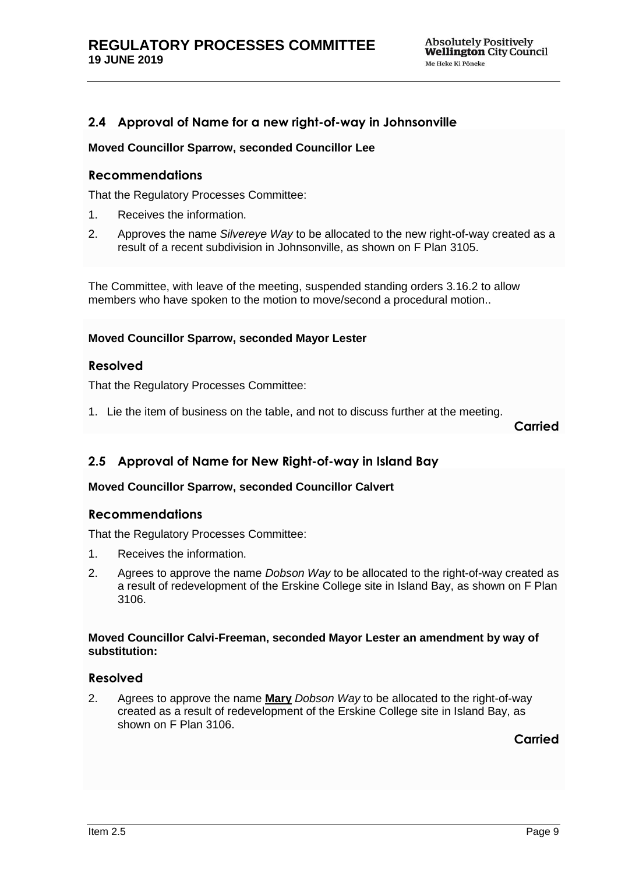# <span id="page-8-0"></span>**2.4 Approval of Name for a new right-of-way in Johnsonville**

#### **Moved Councillor Sparrow, seconded Councillor Lee**

#### **Recommendations**

That the Regulatory Processes Committee:

- 1. Receives the information.
- 2. Approves the name *Silvereye Way* to be allocated to the new right-of-way created as a result of a recent subdivision in Johnsonville, as shown on F Plan 3105.

The Committee, with leave of the meeting, suspended standing orders 3.16.2 to allow members who have spoken to the motion to move/second a procedural motion..

#### **Moved Councillor Sparrow, seconded Mayor Lester**

#### **Resolved**

That the Regulatory Processes Committee:

1. Lie the item of business on the table, and not to discuss further at the meeting.

**Carried**

## <span id="page-8-1"></span>**2.5 Approval of Name for New Right-of-way in Island Bay**

#### **Moved Councillor Sparrow, seconded Councillor Calvert**

#### **Recommendations**

That the Regulatory Processes Committee:

- 1. Receives the information.
- 2. Agrees to approve the name *Dobson Way* to be allocated to the right-of-way created as a result of redevelopment of the Erskine College site in Island Bay, as shown on F Plan 3106.

#### **Moved Councillor Calvi-Freeman, seconded Mayor Lester an amendment by way of substitution:**

#### **Resolved**

2. Agrees to approve the name **Mary** *Dobson Way* to be allocated to the right-of-way created as a result of redevelopment of the Erskine College site in Island Bay, as shown on F Plan 3106.

**Carried**